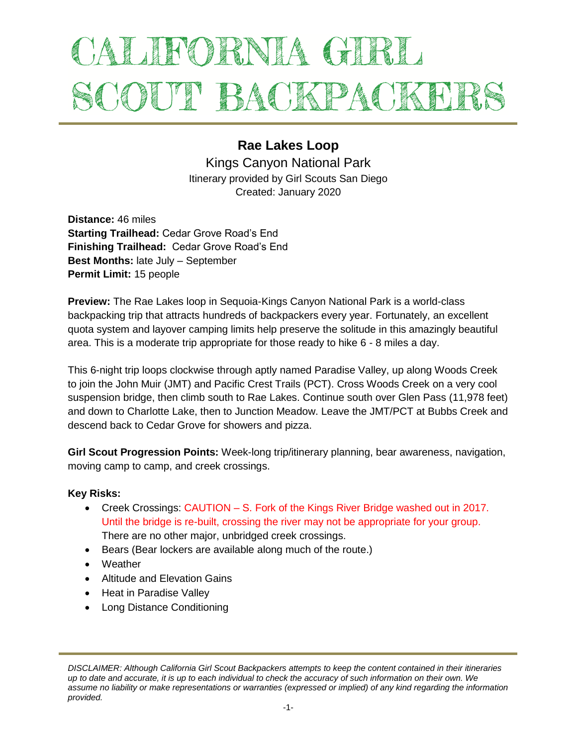# ALIFORNIA GIRL SCOUT BACKPACKEI

# **Rae Lakes Loop**

Kings Canyon National Park Itinerary provided by Girl Scouts San Diego Created: January 2020

**Distance:** 46 miles **Starting Trailhead:** Cedar Grove Road's End **Finishing Trailhead:** Cedar Grove Road's End **Best Months:** late July – September **Permit Limit:** 15 people

**Preview:** The Rae Lakes loop in Sequoia-Kings Canyon National Park is a world-class backpacking trip that attracts hundreds of backpackers every year. Fortunately, an excellent quota system and layover camping limits help preserve the solitude in this amazingly beautiful area. This is a moderate trip appropriate for those ready to hike 6 - 8 miles a day.

This 6-night trip loops clockwise through aptly named Paradise Valley, up along Woods Creek to join the John Muir (JMT) and Pacific Crest Trails (PCT). Cross Woods Creek on a very cool suspension bridge, then climb south to Rae Lakes. Continue south over Glen Pass (11,978 feet) and down to Charlotte Lake, then to Junction Meadow. Leave the JMT/PCT at Bubbs Creek and descend back to Cedar Grove for showers and pizza.

**Girl Scout Progression Points:** Week-long trip/itinerary planning, bear awareness, navigation, moving camp to camp, and creek crossings.

## **Key Risks:**

- Creek Crossings: CAUTION S. Fork of the Kings River Bridge washed out in 2017. Until the bridge is re-built, crossing the river may not be appropriate for your group. There are no other major, unbridged creek crossings.
- Bears (Bear lockers are available along much of the route.)
- Weather
- Altitude and Flevation Gains
- Heat in Paradise Valley
- Long Distance Conditioning

*DISCLAIMER: Although California Girl Scout Backpackers attempts to keep the content contained in their itineraries up to date and accurate, it is up to each individual to check the accuracy of such information on their own. We assume no liability or make representations or warranties (expressed or implied) of any kind regarding the information provided.*